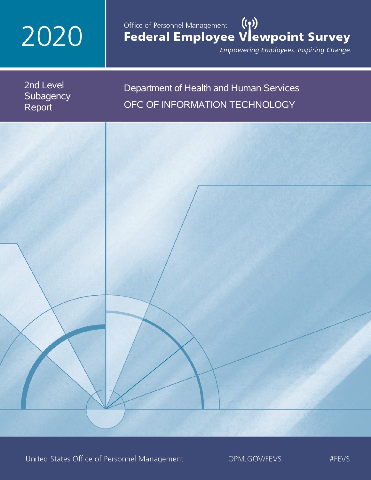# 2020

## Office of Personnel Management (())<br>Federal Employee Vlewpoint Survey

Empowering Employees. Inspiring Change.

2nd Level **Subagency** Report

## Department of Health and Human Services OFC OF INFORMATION TECHNOLOGY

United States Office of Personnel Management

OPM.GOV/FEVS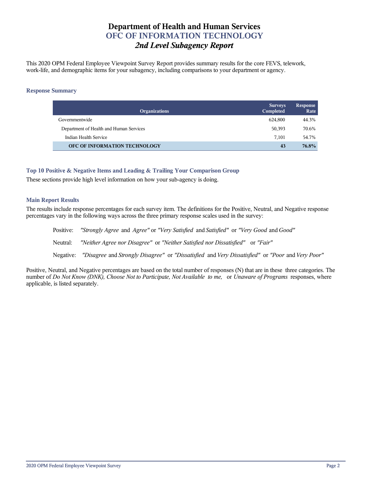## **Department of Health and Human Services OFC OF INFORMATION TECHNOLOGY** *2nd Level Subagency Report*

This 2020 OPM Federal Employee Viewpoint Survey Report provides summary results for the core FEVS, telework, work-life, and demographic items for your subagency, including comparisons to your department or agency.

#### **Response Summary**

| <b>Organizations</b>                    | <b>Surveys</b><br>Completed | <b>Response</b><br>Rate |
|-----------------------------------------|-----------------------------|-------------------------|
| Governmentwide                          | 624.800                     | 44.3%                   |
| Department of Health and Human Services | 50,393                      | 70.6%                   |
| Indian Health Service                   | 7,101                       | 54.7%                   |
| OFC OF INFORMATION TECHNOLOGY           | 43                          | 76.8%                   |

#### **Top 10 Positive & Negative Items and Leading & Trailing Your Comparison Group**

These sections provide high level information on how your sub-agency is doing.

#### **Main Report Results**

The results include response percentages for each survey item. The definitions for the Positive, Neutral, and Negative response percentages vary in the following ways across the three primary response scales used in the survey:

Positive: *"Strongly Agree* and *Agree"* or *"Very Satisfied* and *Satisfied"* or *"Very Good* and *Good"* Neutral: *"Neither Agree nor Disagree"* or *"Neither Satisfied nor Dissatisfied"* or *"Fair"* Negative: *"Disagree* and *Strongly Disagree"* or *"Dissatisfied* and *Very Dissatisfied"* or *"Poor* and *Very Poor"*

Positive, Neutral, and Negative percentages are based on the total number of responses (N) that are in these three categories. The number of *Do Not Know (DNK), Choose Not to Participate, Not Available to me,* or *Unaware of Programs* responses, where applicable, is listed separately.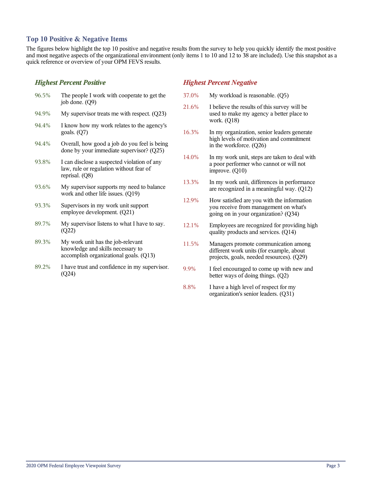#### **Top 10 Positive & Negative Items**

The figures below highlight the top 10 positive and negative results from the survey to help you quickly identify the most positive and most negative aspects of the organizational environment (only items 1 to 10 and 12 to 38 are included). Use this snapshot as a quick reference or overview of your OPM FEVS results.

#### *Highest Percent Positive*

| 96.5% | The people I work with cooperate to get the<br>job done. $(Q9)$                                                  |
|-------|------------------------------------------------------------------------------------------------------------------|
| 94.9% | My supervisor treats me with respect. $(Q23)$                                                                    |
| 94.4% | I know how my work relates to the agency's<br>goals. $(Q7)$                                                      |
| 94.4% | Overall, how good a job do you feel is being<br>done by your immediate supervisor? (Q25)                         |
| 93.8% | I can disclose a suspected violation of any<br>law, rule or regulation without fear of<br>reprisal. (Q8)         |
| 93.6% | My supervisor supports my need to balance<br>work and other life issues. (Q19)                                   |
| 93.3% | Supervisors in my work unit support<br>employee development. (Q21)                                               |
| 89.7% | My supervisor listens to what I have to say.<br>(Q22)                                                            |
| 89.3% | My work unit has the job-relevant<br>knowledge and skills necessary to<br>accomplish organizational goals. (Q13) |
| 89.2% | I have trust and confidence in my supervisor.<br>(Q24)                                                           |

#### *Highest Percent Negative*

- 37.0% My workload is reasonable. (Q5)
- 21.6% I believe the results of this survey will be used to make my agency a better place to work. (Q18)
- 16.3% In my organization, senior leaders generate high levels of motivation and commitment in the workforce. (Q26)
- 14.0% In my work unit, steps are taken to deal with a poor performer who cannot or will not improve. (Q10)
- 13.3% In my work unit, differences in performance are recognized in a meaningful way. (Q12)
- 12.9% How satisfied are you with the information you receive from management on what's going on in your organization? (Q34)
- 12.1% Employees are recognized for providing high quality products and services. (Q14)
- 11.5% Managers promote communication among different work units (for example, about projects, goals, needed resources). (Q29)
- 9.9% I feel encouraged to come up with new and better ways of doing things. (Q2)
- 8.8% I have a high level of respect for my organization's senior leaders. (Q31)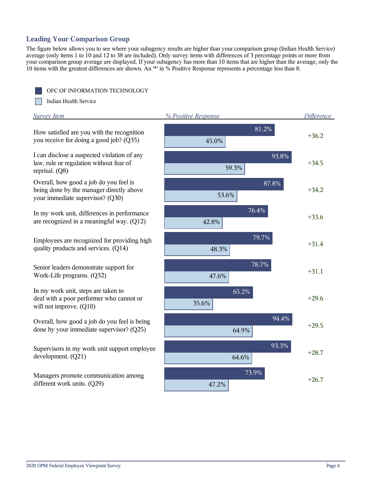## **Leading Your Comparison Group**

The figure below allows you to see where your subagency results are higher than your comparison group (Indian Health Service) average (only items 1 to 10 and 12 to 38 are included). Only survey items with differences of 3 percentage points or more from your comparison group average are displayed. If your subagency has more than 10 items that are higher than the average, only the 10 items with the greatest differences are shown. An '\*' in % Positive Response represents a percentage less than 8.

OFC OF INFORMATION TECHNOLOGY

Indian Health Service

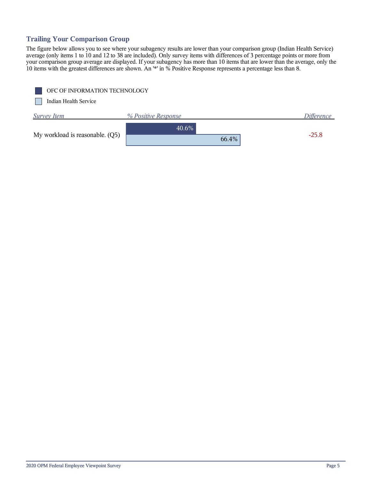## **Trailing Your Comparison Group**

The figure below allows you to see where your subagency results are lower than your comparison group (Indian Health Service) average (only items 1 to 10 and 12 to 38 are included). Only survey items with differences of 3 percentage points or more from your comparison group average are displayed. If your subagency has more than 10 items that are lower than the average, only the 10 items with the greatest differences are shown. An '\*' in % Positive Response represents a percentage less than 8.

| OFC OF INFORMATION TECHNOLOGY   |                     |                   |
|---------------------------------|---------------------|-------------------|
| Indian Health Service           |                     |                   |
| <b>Survey Item</b>              | % Positive Response | <i>Difference</i> |
|                                 | 40.6%               |                   |
| My workload is reasonable. (Q5) | 66.4%               | $-25.8$           |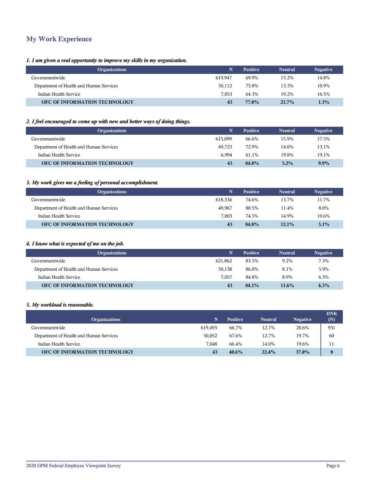## **My Work Experience**

#### *1. I am given a real opportunity to improve my skills in my organization.*

| <b>Organizations</b>                    | N       | <b>Positive</b> | <b>Neutral</b> | <b>Negative</b> |
|-----------------------------------------|---------|-----------------|----------------|-----------------|
| Governmentwide                          | 619.947 | 69.9%           | 15.2%          | 14.8%           |
| Department of Health and Human Services | 50.112  | 75.8%           | 13.3%          | 10.9%           |
| Indian Health Service                   | 7.053   | 64.3%           | 19.2%          | 16.5%           |
| <b>OFC OF INFORMATION TECHNOLOGY</b>    | 43      | 77.0%           | $21.7\%$       | 1.3%            |

#### *2. I feel encouraged to come up with new and better ways of doing things.*

| <b>Organizations</b>                    | N       | <b>Positive</b> | <b>Neutral</b> | <b>Negative</b> |
|-----------------------------------------|---------|-----------------|----------------|-----------------|
| Governmentwide                          | 615.099 | 66.6%           | 15.9%          | 17.5%           |
| Department of Health and Human Services | 49.723  | 72.9%           | 14.0%          | 13.1%           |
| Indian Health Service                   | 6.994   | 61.1%           | 19.8%          | 19.1%           |
| OFC OF INFORMATION TECHNOLOGY           | 43      | 84.8%           | $5.2\%$        | $9.9\%$         |

#### *3. My work gives me a feeling of personal accomplishment.*

| <b>Organizations</b>                    | N       | <b>Positive</b> | <b>Neutral</b> | <b>Negative</b> |
|-----------------------------------------|---------|-----------------|----------------|-----------------|
| Governmentwide                          | 618.334 | 74.6%           | 13.7%          | 11.7%           |
| Department of Health and Human Services | 49.967  | 80.5%           | 11.4%          | 8.0%            |
| Indian Health Service                   | 7.003   | 74.5%           | 14.9%          | 10.6%           |
| OFC OF INFORMATION TECHNOLOGY           | 43      | 84.8%           | $12.1\%$       | 3.1%            |

#### *4. I know what is expected of me on the job.*

| <b>Organizations</b>                    | N       | <b>Positive</b> | <b>Neutral</b> | <b>Negative</b> |
|-----------------------------------------|---------|-----------------|----------------|-----------------|
| Governmentwide                          | 621.862 | 83.5%           | 9.2%           | 7.3%            |
| Department of Health and Human Services | 50.138  | 86.0%           | 8.1%           | 5.9%            |
| Indian Health Service                   | 7.057   | 84.8%           | 8.9%           | 6.3%            |
| OFC OF INFORMATION TECHNOLOGY           | 43      | 84.1%           | $11.6\%$       | 4.3%            |

#### *5. My workload is reasonable.*

| <b>Organizations</b>                    | N       | <b>Positive</b> | <b>Neutral</b> | <b>Negative</b> | <b>DNK</b><br>(N) |
|-----------------------------------------|---------|-----------------|----------------|-----------------|-------------------|
| Governmentwide                          | 619.493 | 66.7%           | 12.7%          | 20.6%           | 931               |
| Department of Health and Human Services | 50.052  | 67.6%           | 12.7%          | 19.7%           | 60                |
| Indian Health Service                   | 7.048   | 66.4%           | 14.0%          | 19.6%           | 11                |
| OFC OF INFORMATION TECHNOLOGY           | 43      | $40.6\%$        | 22.4%          | 37.0%           | $\bf{0}$          |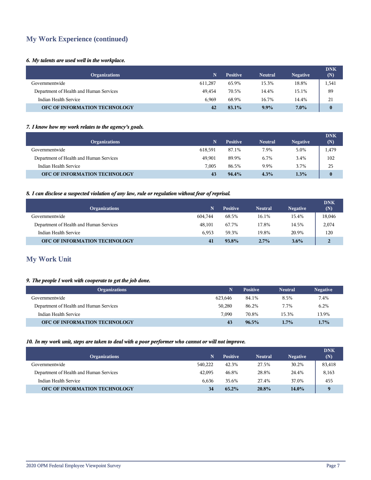## **My Work Experience (continued)**

#### *6. My talents are used well in the workplace.*

| <b>Organizations</b>                    | N.      | <b>Positive</b> | <b>Neutral</b> | <b>Negative</b> | <b>DNK</b><br>(N) |
|-----------------------------------------|---------|-----------------|----------------|-----------------|-------------------|
| Governmentwide                          | 611.287 | 65.9%           | 15.3%          | 18.8%           | 1,541             |
| Department of Health and Human Services | 49.454  | 70.5%           | 14.4%          | 15.1%           | 89                |
| Indian Health Service                   | 6.969   | 68.9%           | 16.7%          | 14.4%           | 21                |
| OFC OF INFORMATION TECHNOLOGY           | 42      | 83.1%           | $9.9\%$        | $7.0\%$         | $\bf{0}$          |

#### *7. I know how my work relates to the agency's goals.*

| <b>Organizations</b>                    | N       | <b>Positive</b> | <b>Neutral</b> | <b>Negative</b> | <b>DNK</b><br>(N) |
|-----------------------------------------|---------|-----------------|----------------|-----------------|-------------------|
| Governmentwide                          | 618.591 | 87.1%           | 7.9%           | 5.0%            | 1,479             |
| Department of Health and Human Services | 49.901  | 89.9%           | 6.7%           | 3.4%            | 102               |
| Indian Health Service                   | 7.005   | 86.5%           | 9.9%           | 3.7%            | 25                |
| OFC OF INFORMATION TECHNOLOGY           | 43      | 94.4%           | 4.3%           | $1.3\%$         | $\bf{0}$          |

#### *8. I can disclose a suspected violation of any law, rule or regulation without fear of reprisal.*

| <b>Organizations</b>                    | N.      | <b>Positive</b> | <b>Neutral</b> | <b>Negative</b> | <b>DNK</b><br>(N) |
|-----------------------------------------|---------|-----------------|----------------|-----------------|-------------------|
| Governmentwide                          | 604.744 | 68.5%           | 16.1%          | 15.4%           | 18,046            |
| Department of Health and Human Services | 48.101  | 67.7%           | 17.8%          | 14.5%           | 2,074             |
| Indian Health Service                   | 6.953   | 59.3%           | 19.8%          | 20.9%           | 120               |
| OFC OF INFORMATION TECHNOLOGY           | 41      | 93.8%           | $2.7\%$        | 3.6%            | $\overline{2}$    |

## **My Work Unit**

#### *9. The people I work with cooperate to get the job done.*

| <b>Organizations</b>                    | N       | <b>Positive</b> | <b>Neutral</b> | <b>Negative</b> |
|-----------------------------------------|---------|-----------------|----------------|-----------------|
| Governmentwide                          | 623.646 | 84.1%           | 8.5%           | 7.4%            |
| Department of Health and Human Services | 50.280  | 86.2%           | 7.7%           | 6.2%            |
| Indian Health Service                   | 7.090   | 70.8%           | 15.3%          | 13.9%           |
| OFC OF INFORMATION TECHNOLOGY           | 43      | $96.5\%$        | $1.7\%$        | $1.7\%$         |

#### *10. In my work unit, steps are taken to deal with a poor performer who cannot or will not improve.*

| <b>Organizations</b>                    |         | <b>Positive</b> | <b>Neutral</b> | <b>Negative</b> | <b>DNK</b><br>(N) |
|-----------------------------------------|---------|-----------------|----------------|-----------------|-------------------|
| Governmentwide                          | 540,222 | 42.3%           | 27.5%          | 30.2%           | 83,418            |
| Department of Health and Human Services | 42.095  | 46.8%           | 28.8%          | 24.4%           | 8,163             |
| Indian Health Service                   | 6.636   | 35.6%           | 27.4%          | 37.0%           | 455               |
| <b>OFC OF INFORMATION TECHNOLOGY</b>    | 34      | 65.2%           | 20.8%          | 14.0%           | $\mathbf Q$       |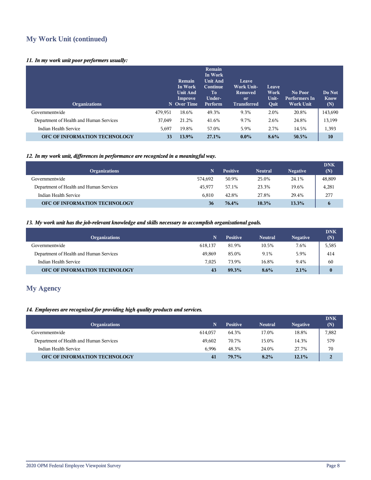## **My Work Unit (continued)**

#### *11. In my work unit poor performers usually:*

| <b>Organizations</b>                    |         | Remain<br>In Work<br><b>Unit And</b><br>Improve<br>N Over Time | <b>Remain</b><br>In Work<br><b>Unit And</b><br><b>Continue</b><br>To<br>Under-<br>Perform | Leave<br><b>Work Unit-</b><br>Removed<br><sub>or</sub><br><b>Transferred</b> | Leave<br>Work<br>Unit-<br>Quit | No Poor<br>Performers In<br><b>Work Unit</b> | Do Not<br><b>Know</b><br>(N) |
|-----------------------------------------|---------|----------------------------------------------------------------|-------------------------------------------------------------------------------------------|------------------------------------------------------------------------------|--------------------------------|----------------------------------------------|------------------------------|
| Governmentwide                          | 479,951 | 18.6%                                                          | 49.3%                                                                                     | 9.3%                                                                         | 2.0%                           | 20.8%                                        | 143,690                      |
| Department of Health and Human Services | 37,049  | 21.2%                                                          | 41.6%                                                                                     | 9.7%                                                                         | 2.6%                           | 24.8%                                        | 13,199                       |
| Indian Health Service                   | 5,697   | 19.8%                                                          | 57.0%                                                                                     | 5.9%                                                                         | 2.7%                           | 14.5%                                        | 1,393                        |
| OFC OF INFORMATION TECHNOLOGY           | 33      | 13.9%                                                          | 27.1%                                                                                     | $0.0\%$                                                                      | 8.6%                           | $50.5\%$                                     | 10                           |

#### *12. In my work unit, differences in performance are recognized in a meaningful way.*

| <b>Organizations</b>                    |         | <b>Positive</b> | <b>Neutral</b> | <b>Negative</b> | <b>DNK</b><br>(N) |
|-----------------------------------------|---------|-----------------|----------------|-----------------|-------------------|
| Governmentwide                          | 574.692 | 50.9%           | 25.0%          | 24.1%           | 48,809            |
| Department of Health and Human Services | 45.977  | 57.1%           | 23.3%          | 19.6%           | 4,281             |
| Indian Health Service                   | 6.810   | 42.8%           | 27.8%          | 29.4%           | 277               |
| <b>OFC OF INFORMATION TECHNOLOGY</b>    | 36      | 76.4%           | 10.3%          | $13.3\%$        | 6                 |

#### *13. My work unit has the job-relevant knowledge and skills necessary to accomplish organizational goals.*

| <b>Organizations</b>                    | N       | <b>Positive</b> | <b>Neutral</b> | <b>Negative</b> | <b>DNK</b><br>(N) |
|-----------------------------------------|---------|-----------------|----------------|-----------------|-------------------|
| Governmentwide                          | 618.137 | 81.9%           | 10.5%          | 7.6%            | 5,585             |
| Department of Health and Human Services | 49.869  | 85.0%           | 9.1%           | 5.9%            | 414               |
| Indian Health Service                   | 7.025   | 73.9%           | 16.8%          | 9.4%            | 60                |
| OFC OF INFORMATION TECHNOLOGY           | 43      | 89.3%           | $8.6\%$        | 2.1%            | $\bf{0}$          |

## **My Agency**

#### *14. Employees are recognized for providing high quality products and services.*

| N.      | <b>Positive</b> | <b>Neutral</b> | <b>Negative</b> | <b>DNK</b><br>(N) |
|---------|-----------------|----------------|-----------------|-------------------|
| 614.057 | 64.3%           | 17.0%          | 18.8%           | 7,882             |
| 49.602  | 70.7%           | 15.0%          | 14.3%           | 579               |
| 6.996   | 48.3%           | 24.0%          | 27.7%           | 70                |
| 41      | 79.7%           | 8.2%           | 12.1%           |                   |
|         |                 |                |                 |                   |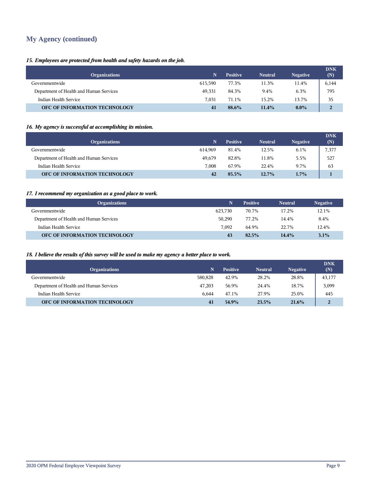## **My Agency (continued)**

#### *15. Employees are protected from health and safety hazards on the job.*

| <b>Organizations</b>                    | N       | <b>Positive</b> | <b>Neutral</b> | <b>Negative</b> | <b>DNK</b><br>(N) |
|-----------------------------------------|---------|-----------------|----------------|-----------------|-------------------|
| Governmentwide                          | 615.590 | 77.3%           | 11.3%          | 11.4%           | 6,144             |
| Department of Health and Human Services | 49.331  | 84.3%           | 9.4%           | 6.3%            | 795               |
| Indian Health Service                   | 7.031   | 71.1%           | 15.2%          | 13.7%           | 35                |
| OFC OF INFORMATION TECHNOLOGY           | 41      | 88.6%           | $11.4\%$       | $0.0\%$         |                   |

#### *16. My agency is successful at accomplishing its mission.*

| <b>Organizations</b>                    | N       | <b>Positive</b> | <b>Neutral</b> | <b>Negative</b> | <b>DNK</b><br>(N) |
|-----------------------------------------|---------|-----------------|----------------|-----------------|-------------------|
| Governmentwide                          | 614.969 | 81.4%           | 12.5%          | 6.1%            | 7,377             |
| Department of Health and Human Services | 49.679  | 82.8%           | 11.8%          | 5.5%            | 527               |
| Indian Health Service                   | 7.008   | 67.9%           | 22.4%          | 9.7%            | 63                |
| OFC OF INFORMATION TECHNOLOGY           | 42      | 85.5%           | $12.7\%$       | $1.7\%$         |                   |

#### *17. I recommend my organization as a good place to work.*

| <b>Organizations</b>                    | N       | <b>Positive</b> | <b>Neutral</b> | <b>Negative</b> |
|-----------------------------------------|---------|-----------------|----------------|-----------------|
| Governmentwide                          | 623.730 | 70.7%           | 17.2%          | 12.1%           |
| Department of Health and Human Services | 50.290  | 77.2%           | 14.4%          | 8.4%            |
| Indian Health Service                   | 7.092   | 64.9%           | 22.7%          | 12.4%           |
| OFC OF INFORMATION TECHNOLOGY           | 43      | 82.5%           | 14.4%          | 3.1%            |

#### *18. I believe the results of this survey will be used to make my agency a better place to work.*

| <b>Organizations</b>                    |         | <b>Positive</b> | <b>Neutral</b> | <b>Negative</b> | <b>DNK</b><br>(N) |
|-----------------------------------------|---------|-----------------|----------------|-----------------|-------------------|
| Governmentwide                          | 580.828 | 42.9%           | 28.2%          | 28.8%           | 43,177            |
| Department of Health and Human Services | 47.203  | 56.9%           | 24.4%          | 18.7%           | 3,099             |
| Indian Health Service                   | 6.644   | 47.1%           | 27.9%          | 25.0%           | 445               |
| <b>OFC OF INFORMATION TECHNOLOGY</b>    | 41      | 54.9%           | 23.5%          | 21.6%           | $\overline{2}$    |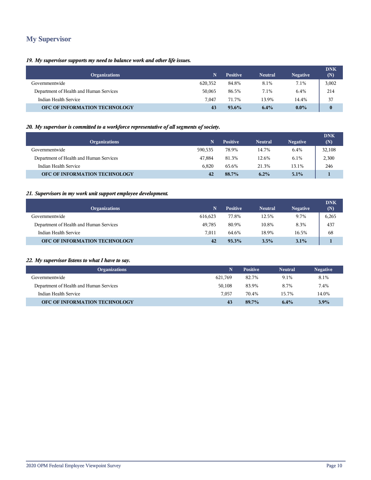## **My Supervisor**

#### *19. My supervisor supports my need to balance work and other life issues.*

| <b>Organizations</b>                    | N       | <b>Positive</b> | <b>Neutral</b> | <b>Negative</b> | <b>DNK</b><br>(N) |
|-----------------------------------------|---------|-----------------|----------------|-----------------|-------------------|
| Governmentwide                          | 620,352 | 84.8%           | 8.1%           | 7.1%            | 3,002             |
| Department of Health and Human Services | 50,065  | 86.5%           | 7.1%           | 6.4%            | 214               |
| Indian Health Service                   | 7.047   | 71.7%           | 13.9%          | 14.4%           | 37                |
| OFC OF INFORMATION TECHNOLOGY           | 43      | $93.6\%$        | 6.4%           | $0.0\%$         | $\bf{0}$          |

#### *20. My supervisor is committed to a workforce representative of all segments of society.*

| <b>Organizations</b>                    | N.      | <b>Positive</b> | <b>Neutral</b> | <b>Negative</b> | <b>DNK</b><br>(N) |
|-----------------------------------------|---------|-----------------|----------------|-----------------|-------------------|
| Governmentwide                          | 590,535 | 78.9%           | 14.7%          | 6.4%            | 32,108            |
| Department of Health and Human Services | 47.884  | 81.3%           | 12.6%          | 6.1%            | 2,300             |
| Indian Health Service                   | 6.820   | 65.6%           | 21.3%          | 13.1%           | 246               |
| OFC OF INFORMATION TECHNOLOGY           | 42      | 88.7%           | $6.2\%$        | 5.1%            |                   |

#### *21. Supervisors in my work unit support employee development.*

| <b>Organizations</b>                    | N       | <b>Positive</b> | <b>Neutral</b> | <b>Negative</b> | <b>DNK</b><br>(N) |
|-----------------------------------------|---------|-----------------|----------------|-----------------|-------------------|
| Governmentwide                          | 616.623 | 77.8%           | 12.5%          | 9.7%            | 6,265             |
| Department of Health and Human Services | 49.785  | 80.9%           | 10.8%          | 8.3%            | 437               |
| Indian Health Service                   | 7.011   | 64.6%           | 18.9%          | 16.5%           | 68                |
| OFC OF INFORMATION TECHNOLOGY           | 42      | 93.3%           | $3.5\%$        | 3.1%            |                   |

#### *22. My supervisor listens to what I have to say.*

| <b>Organizations</b>                    | N       | <b>Positive</b> | <b>Neutral</b> | <b>Negative</b> |
|-----------------------------------------|---------|-----------------|----------------|-----------------|
| Governmentwide                          | 621.769 | 82.7%           | 9.1%           | 8.1%            |
| Department of Health and Human Services | 50.108  | 83.9%           | 8.7%           | 7.4%            |
| Indian Health Service                   | 7.057   | 70.4%           | 15.7%          | 14.0%           |
| OFC OF INFORMATION TECHNOLOGY           | 43      | 89.7%           | 6.4%           | 3.9%            |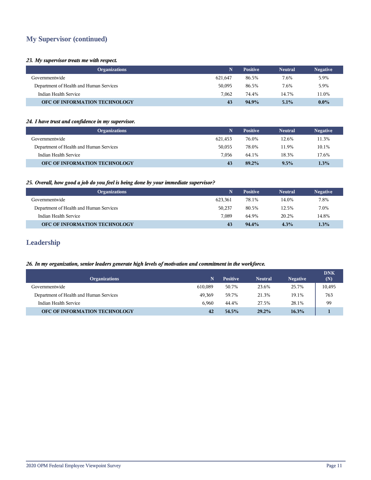## **My Supervisor (continued)**

#### *23. My supervisor treats me with respect.*

| <b>Organizations</b>                    | N       | <b>Positive</b> | <b>Neutral</b> | <b>Negative</b> |
|-----------------------------------------|---------|-----------------|----------------|-----------------|
| Governmentwide                          | 621.647 | 86.5%           | 7.6%           | 5.9%            |
| Department of Health and Human Services | 50.095  | 86.5%           | 7.6%           | 5.9%            |
| Indian Health Service                   | 7.062   | 74.4%           | 14.7%          | 11.0%           |
| <b>OFC OF INFORMATION TECHNOLOGY</b>    | 43      | 94.9%           | 5.1%           | $0.0\%$         |

#### *24. I have trust and confidence in my supervisor.*

| <b>Organizations</b>                    | N       | <b>Positive</b> | <b>Neutral</b> | <b>Negative</b> |
|-----------------------------------------|---------|-----------------|----------------|-----------------|
| Governmentwide                          | 621.453 | 76.0%           | 12.6%          | 11.3%           |
| Department of Health and Human Services | 50,055  | 78.0%           | 11.9%          | 10.1%           |
| Indian Health Service                   | 7.056   | 64.1%           | 18.3%          | 17.6%           |
| OFC OF INFORMATION TECHNOLOGY           | 43      | 89.2%           | 9.5%           | 1.3%            |

#### *25. Overall, how good a job do you feel is being done by your immediate supervisor?*

| <b>Organizations</b>                    | N       | <b>Positive</b> | <b>Neutral</b> | <b>Negative</b> |
|-----------------------------------------|---------|-----------------|----------------|-----------------|
| Governmentwide                          | 623.361 | 78.1%           | 14.0%          | 7.8%            |
| Department of Health and Human Services | 50,237  | 80.5%           | 12.5%          | 7.0%            |
| Indian Health Service                   | 7.089   | 64.9%           | 20.2%          | 14.8%           |
| <b>OFC OF INFORMATION TECHNOLOGY</b>    | 43      | 94.4%           | 4.3%           | 1.3%            |

## **Leadership**

#### *26. In my organization, senior leaders generate high levels of motivation and commitment in the workforce.*

| <b>Organizations</b>                    | N       | <b>Positive</b> | <b>Neutral</b> | <b>Negative</b> | <b>DNK</b><br>(N) |
|-----------------------------------------|---------|-----------------|----------------|-----------------|-------------------|
| Governmentwide                          | 610.089 | 50.7%           | 23.6%          | 25.7%           | 10,495            |
| Department of Health and Human Services | 49,369  | 59.7%           | 21.3%          | 19.1%           | 763               |
| Indian Health Service                   | 6.960   | 44.4%           | 27.5%          | 28.1%           | 99                |
| OFC OF INFORMATION TECHNOLOGY           | 42      | 54.5%           | 29.2%          | $16.3\%$        |                   |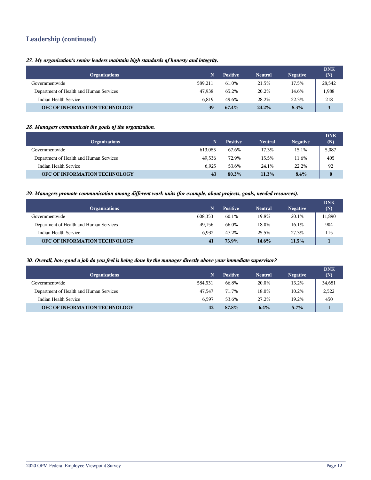## **Leadership (continued)**

#### *27. My organization's senior leaders maintain high standards of honesty and integrity.*

| <b>Organizations</b>                    | N.      | <b>Positive</b> | <b>Neutral</b> | <b>Negative</b> | <b>DNK</b><br>(N) |
|-----------------------------------------|---------|-----------------|----------------|-----------------|-------------------|
| Governmentwide                          | 589.211 | 61.0%           | 21.5%          | 17.5%           | 28,542            |
| Department of Health and Human Services | 47.938  | 65.2%           | 20.2%          | 14.6%           | 1,988             |
| Indian Health Service                   | 6.819   | 49.6%           | 28.2%          | 22.3%           | 218               |
| OFC OF INFORMATION TECHNOLOGY           | 39      | $67.4\%$        | 24.2%          | 8.3%            | 3                 |

#### *28. Managers communicate the goals of the organization.*

| <b>Organizations</b>                    | N       | <b>Positive</b> | <b>Neutral</b> | <b>Negative</b> | <b>DNK</b><br>(N) |
|-----------------------------------------|---------|-----------------|----------------|-----------------|-------------------|
| Governmentwide                          | 613.083 | 67.6%           | 17.3%          | 15.1%           | 5,087             |
| Department of Health and Human Services | 49.536  | 72.9%           | 15.5%          | 11.6%           | 405               |
| Indian Health Service                   | 6.925   | 53.6%           | 24.1%          | 22.2%           | 92                |
| OFC OF INFORMATION TECHNOLOGY           | 43      | 80.3%           | 11.3%          | 8.4%            | $\bf{0}$          |

#### *29. Managers promote communication among different work units (for example, about projects, goals, needed resources).*

| <b>Organizations</b>                    | N.      | <b>Positive</b> | <b>Neutral</b> | <b>Negative</b> | <b>DNK</b><br>(N) |
|-----------------------------------------|---------|-----------------|----------------|-----------------|-------------------|
| Governmentwide                          | 608,353 | 60.1%           | 19.8%          | 20.1%           | 11,890            |
| Department of Health and Human Services | 49.156  | 66.0%           | 18.0%          | 16.1%           | 904               |
| Indian Health Service                   | 6.932   | 47.2%           | 25.5%          | 27.3%           | 115               |
| OFC OF INFORMATION TECHNOLOGY           | 41      | 73.9%           | 14.6%          | 11.5%           |                   |

#### *30. Overall, how good a job do you feel is being done by the manager directly above your immediate supervisor?*

| <b>Organizations</b>                    |         | <b>Positive</b> | <b>Neutral</b> | <b>Negative</b> | <b>DNK</b><br>(N) |
|-----------------------------------------|---------|-----------------|----------------|-----------------|-------------------|
| Governmentwide                          | 584,531 | 66.8%           | 20.0%          | 13.2%           | 34,681            |
| Department of Health and Human Services | 47.547  | 71.7%           | 18.0%          | 10.2%           | 2,522             |
| Indian Health Service                   | 6.597   | 53.6%           | 27.2%          | 19.2%           | 450               |
| <b>OFC OF INFORMATION TECHNOLOGY</b>    | 42      | 87.8%           | 6.4%           | 5.7%            |                   |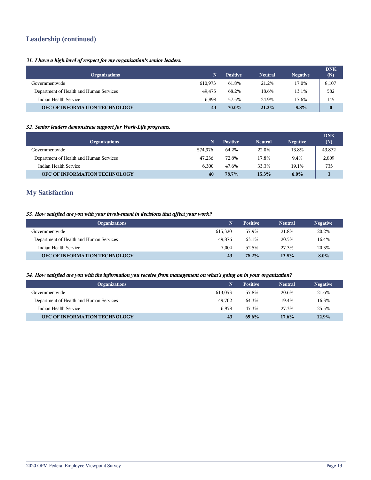## **Leadership (continued)**

#### *31. I have a high level of respect for my organization's senior leaders.*

| <b>Organizations</b>                    | N       | <b>Positive</b> | <b>Neutral</b> | <b>Negative</b> | <b>DNK</b><br>(N) |
|-----------------------------------------|---------|-----------------|----------------|-----------------|-------------------|
| Governmentwide                          | 610.973 | 61.8%           | 21.2%          | 17.0%           | 8,107             |
| Department of Health and Human Services | 49.475  | 68.2%           | 18.6%          | 13.1%           | 582               |
| Indian Health Service                   | 6.898   | 57.5%           | 24.9%          | 17.6%           | 145               |
| OFC OF INFORMATION TECHNOLOGY           | 43      | 70.0%           | 21.2%          | 8.8%            | $\bf{0}$          |

#### *32. Senior leaders demonstrate support for Work-Life programs.*

| <b>Organizations</b>                    | N.      | <b>Positive</b> | <b>Neutral</b> | <b>Negative</b> | <b>DNK</b><br>(N) |
|-----------------------------------------|---------|-----------------|----------------|-----------------|-------------------|
| Governmentwide                          | 574.976 | 64.2%           | 22.0%          | 13.8%           | 43,872            |
| Department of Health and Human Services | 47.236  | 72.8%           | 17.8%          | 9.4%            | 2,809             |
| Indian Health Service                   | 6.300   | 47.6%           | 33.3%          | 19.1%           | 735               |
| OFC OF INFORMATION TECHNOLOGY           | 40      | 78.7%           | 15.3%          | $6.0\%$         |                   |

## **My Satisfaction**

#### *33. How satisfied are you with your involvement in decisions that affect your work?*

| <b>Organizations</b>                    | N       | <b>Positive</b> | <b>Neutral</b> | <b>Negative</b> |
|-----------------------------------------|---------|-----------------|----------------|-----------------|
| Governmentwide                          | 615.320 | 57.9%           | 21.8%          | 20.2%           |
| Department of Health and Human Services | 49.876  | 63.1%           | 20.5%          | 16.4%           |
| Indian Health Service                   | 7.004   | 52.5%           | 27.3%          | 20.3%           |
| OFC OF INFORMATION TECHNOLOGY           | 43      | 78.2%           | 13.8%          | $8.0\%$         |

#### *34. How satisfied are you with the information you receive from management on what's going on in your organization?*

| <b>Organizations</b>                    | N       | <b>Positive</b> | <b>Neutral</b> | <b>Negative</b> |
|-----------------------------------------|---------|-----------------|----------------|-----------------|
| Governmentwide                          | 613.053 | 57.8%           | 20.6%          | 21.6%           |
| Department of Health and Human Services | 49.702  | 64.3%           | 19.4%          | 16.3%           |
| Indian Health Service                   | 6.978   | 47.3%           | 27.3%          | 25.5%           |
| OFC OF INFORMATION TECHNOLOGY           | 43      | 69.6%           | $17.6\%$       | 12.9%           |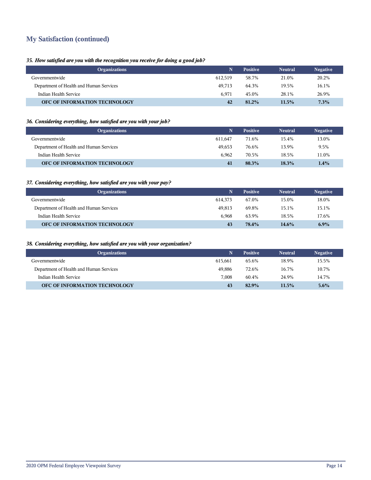## **My Satisfaction (continued)**

#### *35. How satisfied are you with the recognition you receive for doing a good job?*

| <b>Organizations</b>                    | N       | <b>Positive</b> | <b>Neutral</b> | <b>Negative</b> |
|-----------------------------------------|---------|-----------------|----------------|-----------------|
| Governmentwide                          | 612.519 | 58.7%           | 21.0%          | 20.2%           |
| Department of Health and Human Services | 49.713  | 64.3%           | 19.5%          | 16.1%           |
| Indian Health Service                   | 6.971   | 45.0%           | 28.1%          | 26.9%           |
| <b>OFC OF INFORMATION TECHNOLOGY</b>    | 42      | 81.2%           | 11.5%          | 7.3%            |

#### *36. Considering everything, how satisfied are you with your job?*

| <b>Organizations</b>                    | N       | <b>Positive</b> | <b>Neutral</b> | <b>Negative</b> |
|-----------------------------------------|---------|-----------------|----------------|-----------------|
| Governmentwide                          | 611.647 | 71.6%           | 15.4%          | 13.0%           |
| Department of Health and Human Services | 49.653  | 76.6%           | 13.9%          | 9.5%            |
| Indian Health Service                   | 6.962   | 70.5%           | 18.5%          | 11.0%           |
| OFC OF INFORMATION TECHNOLOGY           | 41      | 80.3%           | 18.3%          | $1.4\%$         |

#### *37. Considering everything, how satisfied are you with your pay?*

| <b>Organizations</b>                    | N       | <b>Positive</b> | <b>Neutral</b> | <b>Negative</b> |
|-----------------------------------------|---------|-----------------|----------------|-----------------|
| Governmentwide                          | 614.373 | 67.0%           | 15.0%          | 18.0%           |
| Department of Health and Human Services | 49.813  | 69.8%           | 15.1%          | 15.1%           |
| Indian Health Service                   | 6.968   | 63.9%           | 18.5%          | 17.6%           |
| <b>OFC OF INFORMATION TECHNOLOGY</b>    | 43      | 78.4%           | 14.6%          | $6.9\%$         |

#### *38. Considering everything, how satisfied are you with your organization?*

| <b>Organizations</b>                    | N       | <b>Positive</b> | <b>Neutral</b> | <b>Negative</b> |
|-----------------------------------------|---------|-----------------|----------------|-----------------|
| Governmentwide                          | 615.661 | 65.6%           | 18.9%          | 15.5%           |
| Department of Health and Human Services | 49.886  | 72.6%           | 16.7%          | 10.7%           |
| Indian Health Service                   | 7.008   | 60.4%           | 24.9%          | 14.7%           |
| <b>OFC OF INFORMATION TECHNOLOGY</b>    | 43      | 82.9%           | 11.5%          | $5.6\%$         |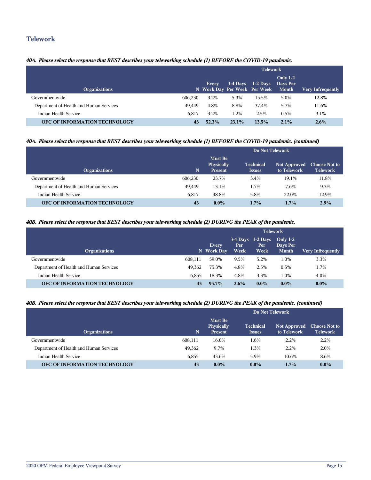### **Telework**

#### *40A. Please select the response that BEST describes your teleworking schedule (1) BEFORE the COVID-19 pandemic.*

|                                         |         | <b>Telework</b>                              |       |                     |                                      |                          |  |
|-----------------------------------------|---------|----------------------------------------------|-------|---------------------|--------------------------------------|--------------------------|--|
| <b>Organizations</b>                    |         | <b>Every</b><br>N Work Day Per Week Per Week |       | $3-4$ Days 1-2 Days | <b>Only 1-2</b><br>Days Per<br>Month | <b>Very Infrequently</b> |  |
| Governmentwide                          | 606.230 | 3.2%                                         | 5.3%  | 15.5%               | 5.0%                                 | 12.8%                    |  |
| Department of Health and Human Services | 49.449  | 4.8%                                         | 8.8%  | 37.4%               | 5.7%                                 | 11.6%                    |  |
| Indian Health Service                   | 6.817   | 3.2%                                         | 1.2%  | 2.5%                | 0.5%                                 | 3.1%                     |  |
| <b>OFC OF INFORMATION TECHNOLOGY</b>    | 43      | 52.3%                                        | 23.1% | 13.5%               | 2.1%                                 | $2.6\%$                  |  |

#### *40A. Please select the response that BEST describes your teleworking schedule (1) BEFORE the COVID-19 pandemic. (continued)*

|                                         |         | Do Not Telework                                       |                                   |                                    |                                         |
|-----------------------------------------|---------|-------------------------------------------------------|-----------------------------------|------------------------------------|-----------------------------------------|
| <b>Organizations</b>                    | N       | <b>Must Be</b><br><b>Physically</b><br><b>Present</b> | <b>Technical</b><br><b>Issues</b> | <b>Not Approved</b><br>to Telework | <b>Choose Not to</b><br><b>Telework</b> |
| Governmentwide                          | 606,230 | 23.7%                                                 | 3.4%                              | 19.1%                              | 11.8%                                   |
| Department of Health and Human Services | 49,449  | 13.1%                                                 | 1.7%                              | 7.6%                               | 9.3%                                    |
| Indian Health Service                   | 6.817   | 48.8%                                                 | 5.8%                              | 22.0%                              | 12.9%                                   |
| OFC OF INFORMATION TECHNOLOGY           | 43      | $0.0\%$                                               | 1.7%                              | 1.7%                               | 2.9%                                    |

#### *40B. Please select the response that BEST describes your teleworking schedule (2) DURING the PEAK of the pandemic.*

|                                         |         | <b>Telework</b>     |              |                                     |                                        |                   |  |
|-----------------------------------------|---------|---------------------|--------------|-------------------------------------|----------------------------------------|-------------------|--|
| <b>Organizations</b>                    |         | Every<br>N Work Day | Per.<br>Week | $3-4$ Days 1-2 Days<br>Per.<br>Week | Only $1-2$<br>Days Per<br><b>Month</b> | Very Infrequently |  |
| Governmentwide                          | 608.111 | 59.0%               | 9.5%         | 5.2%                                | 1.0%                                   | 3.3%              |  |
| Department of Health and Human Services | 49.362  | 75.3%               | 4.8%         | 2.5%                                | $0.5\%$                                | 1.7%              |  |
| Indian Health Service                   | 6.855   | 18.3%               | 4.8%         | 3.3%                                | 1.0%                                   | 4.0%              |  |
| OFC OF INFORMATION TECHNOLOGY           | 43      | $95.7\%$            | $2.6\%$      | $0.0\%$                             | $0.0\%$                                | $0.0\%$           |  |

#### *40B. Please select the response that BEST describes your teleworking schedule (2) DURING the PEAK of the pandemic. (continued)*

|                                         |             | Do Not Telework                                       |                                   |                                    |                                         |  |  |  |
|-----------------------------------------|-------------|-------------------------------------------------------|-----------------------------------|------------------------------------|-----------------------------------------|--|--|--|
| <b>Organizations</b>                    | $\mathbf N$ | <b>Must Be</b><br><b>Physically</b><br><b>Present</b> | <b>Technical</b><br><b>Issues</b> | <b>Not Approved</b><br>to Telework | <b>Choose Not to</b><br><b>Telework</b> |  |  |  |
| Governmentwide                          | 608,111     | 16.0%                                                 | 1.6%                              | $2.2\%$                            | $2.2\%$                                 |  |  |  |
| Department of Health and Human Services | 49,362      | 9.7%                                                  | 1.3%                              | 2.2%                               | 2.0%                                    |  |  |  |
| Indian Health Service                   | 6,855       | 43.6%                                                 | 5.9%                              | 10.6%                              | 8.6%                                    |  |  |  |
| OFC OF INFORMATION TECHNOLOGY           | 43          | $0.0\%$                                               | $0.0\%$                           | 1.7%                               | $0.0\%$                                 |  |  |  |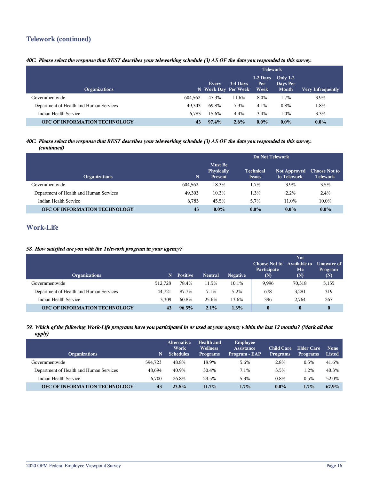## **Telework (continued)**

#### *40C. Please select the response that BEST describes your teleworking schedule (3) AS OF the date you responded to this survey.*

|                                         |         | <b>Telework</b>              |          |                            |                                        |                   |  |
|-----------------------------------------|---------|------------------------------|----------|----------------------------|----------------------------------------|-------------------|--|
| <b>Organizations</b>                    |         | Every<br>N Work Day Per Week | 3-4 Days | $1-2$ Days<br>Per.<br>Week | Only $1-2$<br>Days Per<br><b>Month</b> | Very Infrequently |  |
| Governmentwide                          | 604.562 | 47.3%                        | 11.6%    | 8.0%                       | 1.7%                                   | 3.9%              |  |
| Department of Health and Human Services | 49.303  | 69.8%                        | 7.3%     | 4.1%                       | 0.8%                                   | l.8%              |  |
| Indian Health Service                   | 6.783   | 15.6%                        | 4.4%     | 3.4%                       | 1.0%                                   | 3.3%              |  |
| OFC OF INFORMATION TECHNOLOGY           | 43      | 97.4%                        | $2.6\%$  | $0.0\%$                    | $0.0\%$                                | $0.0\%$           |  |

#### *40C. Please select the response that BEST describes your teleworking schedule (3) AS OF the date you responded to this survey. (continued)*

|                                         |             | Do Not Telework                                       |                                   |                                    |                                         |  |  |
|-----------------------------------------|-------------|-------------------------------------------------------|-----------------------------------|------------------------------------|-----------------------------------------|--|--|
| <b>Organizations</b>                    | $\mathbf N$ | <b>Must Be</b><br><b>Physically</b><br><b>Present</b> | <b>Technical</b><br><b>Issues</b> | <b>Not Approved</b><br>to Telework | <b>Choose Not to</b><br><b>Telework</b> |  |  |
| Governmentwide                          | 604.562     | 18.3%                                                 | 1.7%                              | 3.9%                               | 3.5%                                    |  |  |
| Department of Health and Human Services | 49,303      | 10.3%                                                 | 1.3%                              | 2.2%                               | 2.4%                                    |  |  |
| Indian Health Service                   | 6,783       | 45.5%                                                 | 5.7%                              | 11.0%                              | 10.0%                                   |  |  |
| OFC OF INFORMATION TECHNOLOGY           | 43          | $0.0\%$                                               | $0.0\%$                           | $0.0\%$                            | $0.0\%$                                 |  |  |

## **Work-Life**

#### *58. How satisfied are you with the Telework program in your agency?*

| <b>Organizations</b>                    | 'N.     | <b>Positive</b> | <b>Neutral</b> | <b>Negative</b> | <b>Choose Not to</b><br>Participate<br>(N) | <b>Not</b><br><b>Available to</b><br>Me<br>(N) | <b>Unaware of</b><br>Program<br>(N) |
|-----------------------------------------|---------|-----------------|----------------|-----------------|--------------------------------------------|------------------------------------------------|-------------------------------------|
| Governmentwide                          | 512,728 | 78.4%           | 11.5%          | 10.1%           | 9.996                                      | 70,318                                         | 5,155                               |
| Department of Health and Human Services | 44.721  | 87.7%           | 7.1%           | 5.2%            | 678                                        | 3,281                                          | 319                                 |
| Indian Health Service                   | 3.309   | 60.8%           | 25.6%          | 13.6%           | 396                                        | 2.764                                          | 267                                 |
| OFC OF INFORMATION TECHNOLOGY           | 43      | $96.5\%$        | 2.1%           | 1.3%            | 0                                          | $\bf{0}$                                       | $\bf{0}$                            |

#### *59. Which of the following Work-Life programs have you participated in or used at your agency within the last 12 months? (Mark all that apply)*

| <b>Organizations</b>                    | N       | <b>Alternative</b><br>Work<br><b>Schedules</b> | <b>Health and</b><br><b>Wellness</b><br><b>Programs</b> | <b>Employee</b><br><b>Assistance</b><br>Program - EAP | <b>Child Care</b><br><b>Programs</b> | Elder Care<br><b>Programs</b> | <b>None</b><br><b>Listed</b> |
|-----------------------------------------|---------|------------------------------------------------|---------------------------------------------------------|-------------------------------------------------------|--------------------------------------|-------------------------------|------------------------------|
| Governmentwide                          | 594.723 | 48.8%                                          | 18.9%                                                   | 5.6%                                                  | 2.8%                                 | 0.5%                          | 41.6%                        |
| Department of Health and Human Services | 48.694  | 40.9%                                          | 30.4%                                                   | 7.1%                                                  | 3.5%                                 | 1.2%                          | 40.3%                        |
| Indian Health Service                   | 6.700   | 26.8%                                          | 29.5%                                                   | 5.3%                                                  | 0.8%                                 | 0.5%                          | 52.0%                        |
| <b>OFC OF INFORMATION TECHNOLOGY</b>    | 43      | 23.8%                                          | 11.7%                                                   | $1.7\%$                                               | $0.0\%$                              | $1.7\%$                       | 67.9%                        |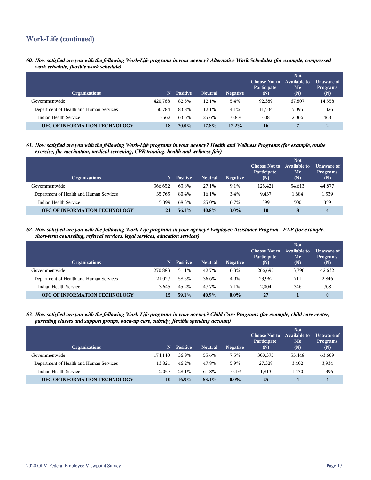## **Work-Life (continued)**

*60. How satisfied are you with the following Work-Life programs in your agency? Alternative Work Schedules (for example, compressed work schedule, flexible work schedule)*

| <b>Organizations</b>                    | N       | <b>Positive</b> | <b>Neutral</b> | <b>Negative</b> | <b>Choose Not to</b><br>Participate<br>(N) | <b>Not</b><br>Available to<br>Me<br>(N) | Unaware of<br><b>Programs</b><br>(N) |
|-----------------------------------------|---------|-----------------|----------------|-----------------|--------------------------------------------|-----------------------------------------|--------------------------------------|
| Governmentwide                          | 420,768 | 82.5%           | 12.1%          | 5.4%            | 92,389                                     | 67,807                                  | 14,558                               |
| Department of Health and Human Services | 30.784  | 83.8%           | 12.1%          | 4.1%            | 11,534                                     | 5,095                                   | 1,326                                |
| Indian Health Service                   | 3.562   | 63.6%           | 25.6%          | 10.8%           | 608                                        | 2.066                                   | 468                                  |
| OFC OF INFORMATION TECHNOLOGY           | 18      | 70.0%           | 17.8%          | $12.2\%$        | <b>16</b>                                  |                                         | $\overline{2}$                       |

*61. How satisfied are you with the following Work-Life programs in your agency? Health and Wellness Programs (for example, onsite exercise, flu vaccination, medical screening, CPR training, health and wellness fair)*

| <b>Organizations</b>                    | N       | <b>Positive</b> | <b>Neutral</b> | <b>Negative</b> | <b>Choose Not to</b><br>Participate<br>(N) | <b>Not</b><br><b>Available to</b><br>Me<br>(N) | Unaware of<br><b>Programs</b><br>(N) |
|-----------------------------------------|---------|-----------------|----------------|-----------------|--------------------------------------------|------------------------------------------------|--------------------------------------|
| Governmentwide                          | 366.652 | 63.8%           | 27.1%          | 9.1%            | 125.421                                    | 54,613                                         | 44,877                               |
| Department of Health and Human Services | 35.765  | 80.4%           | 16.1%          | 3.4%            | 9,437                                      | 1,684                                          | 1,539                                |
| Indian Health Service                   | 5.399   | 68.3%           | 25.0%          | 6.7%            | 399                                        | 500                                            | 359                                  |
| OFC OF INFORMATION TECHNOLOGY           | 21      | $56.1\%$        | 40.8%          | $3.0\%$         | 10                                         | 8                                              | 4                                    |

*62. How satisfied are you with the following Work-Life programs in your agency? Employee Assistance Program - EAP (for example, short-term counseling, referral services, legal services, education services)*

| <b>Organizations</b>                    | N       | <b>Positive</b> | <b>Neutral</b> | <b>Negative</b> | <b>Choose Not to</b><br>Participate<br>(N) | <b>Not</b><br>Available to<br>Me<br>(N) | Unaware of <b>I</b><br><b>Programs</b><br>(N) |
|-----------------------------------------|---------|-----------------|----------------|-----------------|--------------------------------------------|-----------------------------------------|-----------------------------------------------|
| Governmentwide                          | 270.883 | 51.1%           | 42.7%          | 6.3%            | 266.695                                    | 13,796                                  | 42,632                                        |
| Department of Health and Human Services | 21.027  | 58.5%           | 36.6%          | 4.9%            | 23,962                                     | 711                                     | 2,846                                         |
| Indian Health Service                   | 3.645   | 45.2%           | 47.7%          | 7.1%            | 2.004                                      | 346                                     | 708                                           |
| <b>OFC OF INFORMATION TECHNOLOGY</b>    | 15      | 59.1%           | 40.9%          | $0.0\%$         | 27                                         |                                         |                                               |

*63. How satisfied are you with the following Work-Life programs in your agency? Child Care Programs (for example, child care center, parenting classes and support groups, back-up care, subsidy, flexible spending account)*

| <b>Organizations</b>                    | N       | <b>Positive</b> | <b>Neutral</b> | <b>Negative</b> | <b>Choose Not to</b><br>Participate<br>(N) | <b>Not</b><br><b>Available to</b><br>Me<br>(N) | Unaware of<br><b>Programs</b><br>(N) |
|-----------------------------------------|---------|-----------------|----------------|-----------------|--------------------------------------------|------------------------------------------------|--------------------------------------|
| Governmentwide                          | 174.140 | 36.9%           | 55.6%          | 7.5%            | 300.375                                    | 55,448                                         | 63,609                               |
| Department of Health and Human Services | 13.821  | 46.2%           | 47.8%          | 5.9%            | 27,328                                     | 3,402                                          | 3,934                                |
| Indian Health Service                   | 2.057   | 28.1%           | 61.8%          | 10.1%           | 1.813                                      | 1.430                                          | 1,396                                |
| OFC OF INFORMATION TECHNOLOGY           | 10      | $16.9\%$        | 83.1%          | $0.0\%$         | 25                                         | 4                                              | 4                                    |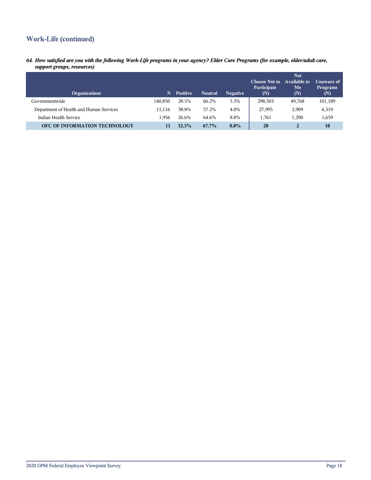## **Work-Life (continued)**

*64. How satisfied are you with the following Work-Life programs in your agency? Elder Care Programs (for example, elder/adult care, support groups, resources)*

| <b>Organizations</b>                    | 'N.     | <b>Positive</b> | <b>Neutral</b> | <b>Negative</b> | <b>Choose Not to</b><br>Participate<br>(N) | <b>Not</b><br>Available to<br>Me<br>(N) | <b>Unaware of</b><br><b>Programs</b><br>(N) |
|-----------------------------------------|---------|-----------------|----------------|-----------------|--------------------------------------------|-----------------------------------------|---------------------------------------------|
| Governmentwide                          | 140.850 | 28.5%           | 66.2%          | 5.3%            | 298,503                                    | 49,768                                  | 101,189                                     |
| Department of Health and Human Services | 11.116  | 38.8%           | 57.2%          | 4.0%            | 27,995                                     | 2,909                                   | 6,319                                       |
| Indian Health Service                   | 1.956   | 26.6%           | 64.6%          | 8.8%            | 1.761                                      | 1,290                                   | 1,659                                       |
| OFC OF INFORMATION TECHNOLOGY           | 11      | 32.3%           | 67.7%          | $0.0\%$         | 20                                         | 2                                       | 10                                          |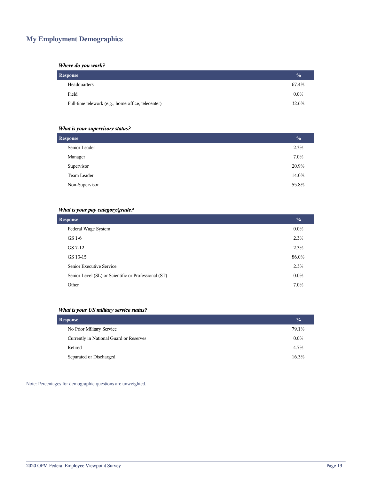## **My Employment Demographics**

#### *Where do you work?*

| Response                                           | $\frac{0}{2}$ |
|----------------------------------------------------|---------------|
| Headquarters                                       | 67.4%         |
| Field                                              | $0.0\%$       |
| Full-time telework (e.g., home office, telecenter) | 32.6%         |

#### *What is your supervisory status?*

| <b>Response</b> | $\frac{0}{0}$ |
|-----------------|---------------|
| Senior Leader   | 2.3%          |
| Manager         | 7.0%          |
| Supervisor      | 20.9%         |
| Team Leader     | 14.0%         |
| Non-Supervisor  | 55.8%         |
|                 |               |

#### *What is your pay category/grade?*

| <b>Response</b>                                      | $\frac{0}{0}$ |
|------------------------------------------------------|---------------|
| Federal Wage System                                  | $0.0\%$       |
| GS 1-6                                               | 2.3%          |
| GS 7-12                                              | 2.3%          |
| GS 13-15                                             | 86.0%         |
| Senior Executive Service                             | 2.3%          |
| Senior Level (SL) or Scientific or Professional (ST) | $0.0\%$       |
| Other                                                | 7.0%          |

#### *What is your US military service status?*

| Response                                | $\frac{0}{0}$ |
|-----------------------------------------|---------------|
| No Prior Military Service               | 79.1%         |
| Currently in National Guard or Reserves | $0.0\%$       |
| Retired                                 | 4.7%          |
| Separated or Discharged                 | 16.3%         |

Note: Percentages for demographic questions are unweighted.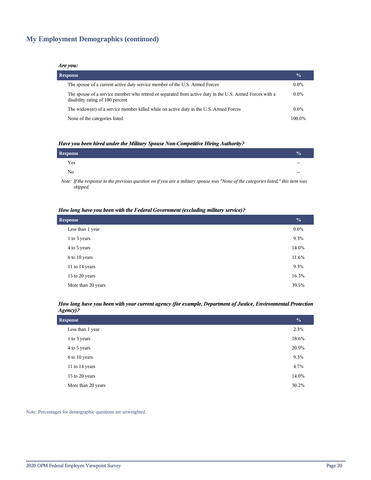## **My Employment Demographics (continued)**

#### *Are you:*

| <b>Response</b>                                                                                                                              | $\frac{0}{0}$ |
|----------------------------------------------------------------------------------------------------------------------------------------------|---------------|
| The spouse of a current active duty service member of the U.S. Armed Forces                                                                  | $0.0\%$       |
| The spouse of a service member who retired or separated from active duty in the U.S. Armed Forces with a<br>disability rating of 100 percent | $0.0\%$       |
| The widow(er) of a service member killed while on active duty in the U.S. Armed Forces                                                       | $0.0\%$       |
| None of the categories listed                                                                                                                | 100.0%        |

#### *Have you been hired under the Military Spouse Non-Competitive Hiring Authority?*

| Response       |       |
|----------------|-------|
| Yes            | $- -$ |
| N <sub>0</sub> | $- -$ |
|                |       |

*Note: If the response to the previous question on if you are a military spouse was "None of the categories listed," this item was skipped.*

#### *How long have you been with the Federal Government (excluding military service)?*

| <b>Response</b>    | $\frac{0}{0}$ |
|--------------------|---------------|
| Less than 1 year   | $0.0\%$       |
| 1 to 3 years       | 9.3%          |
| 4 to 5 years       | 14.0%         |
| 6 to 10 years      | 11.6%         |
| 11 to 14 years     | 9.3%          |
| 15 to 20 years     | 16.3%         |
| More than 20 years | 39.5%         |

#### *How long have you been with your current agency (for example, Department of Justice, Environmental Protection Agency)?*

| Response           | $\frac{0}{0}$ |
|--------------------|---------------|
| Less than 1 year   | 2.3%          |
| 1 to 3 years       | 18.6%         |
| 4 to 5 years       | 20.9%         |
| 6 to 10 years      | 9.3%          |
| 11 to 14 years     | 4.7%          |
| 15 to 20 years     | 14.0%         |
| More than 20 years | 30.2%         |

Note: Percentages for demographic questions are unweighted.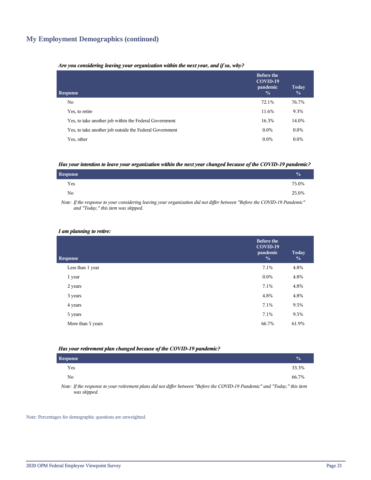## **My Employment Demographics (continued)**

#### *Are you considering leaving your organization within the next year, and if so, why?*

| <b>Response</b>                                         | <b>Before the</b><br>COVID-19<br>pandemic<br>$\frac{0}{0}$ | Today<br>$\frac{0}{0}$ |
|---------------------------------------------------------|------------------------------------------------------------|------------------------|
| No.                                                     | 72.1%                                                      | 76.7%                  |
| Yes, to retire                                          | 11.6%                                                      | 9.3%                   |
| Yes, to take another job within the Federal Government  | 16.3%                                                      | 14.0%                  |
| Yes, to take another job outside the Federal Government | $0.0\%$                                                    | $0.0\%$                |
| Yes, other                                              | $0.0\%$                                                    | $0.0\%$                |

#### *Has your intention to leave your organization within the next year changed because of the COVID-19 pandemic?*

| <b>Response</b> | $\frac{1}{2}$ |
|-----------------|---------------|
| Yes             | 75.0%         |
| No.             | 25.0%         |

*Note: If the response to your considering leaving your organization did not differ between "Before the COVID-19 Pandemic" and "Today," this item was skipped.*

#### *I am planning to retire:*

| <b>Response</b>   | <b>Before the</b><br>COVID-19<br>pandemic<br>$\frac{0}{0}$ | <b>Today</b><br>$\frac{0}{0}$ |
|-------------------|------------------------------------------------------------|-------------------------------|
| Less than 1 year  | 7.1%                                                       | 4.8%                          |
| 1 year            | $0.0\%$                                                    | 4.8%                          |
| 2 years           | 7.1%                                                       | 4.8%                          |
| 3 years           | 4.8%                                                       | 4.8%                          |
| 4 years           | 7.1%                                                       | 9.5%                          |
| 5 years           | 7.1%                                                       | 9.5%                          |
| More than 5 years | 66.7%                                                      | 61.9%                         |
|                   |                                                            |                               |

#### *Has your retirement plan changed because of the COVID-19 pandemic?*

| Response     |  |  |  |  |                                                                                                                                                                                                                                                                                                                   |  | $\frac{0}{2}$ |
|--------------|--|--|--|--|-------------------------------------------------------------------------------------------------------------------------------------------------------------------------------------------------------------------------------------------------------------------------------------------------------------------|--|---------------|
| Yes          |  |  |  |  |                                                                                                                                                                                                                                                                                                                   |  | 33.3%         |
| No           |  |  |  |  |                                                                                                                                                                                                                                                                                                                   |  | 66.7%         |
| $\mathbf{v}$ |  |  |  |  | $\mathcal{L}$ and $\mathcal{L}$ and $\mathcal{L}$ are $\mathcal{L}$ and $\mathcal{L}$ are $\mathcal{L}$ and $\mathcal{L}$ and $\mathcal{L}$ are $\mathcal{L}$ and $\mathcal{L}$ and $\mathcal{L}$ are $\mathcal{L}$ and $\mathcal{L}$ and $\mathcal{L}$ are $\mathcal{L}$ and $\mathcal{L}$ and $\mathcal{L}$ are |  |               |

*Note: If the response to your retirement plans did not differ between "Before the COVID-19 Pandemic" and "Today," this item was skipped.*

Note: Percentages for demographic questions are unweighted.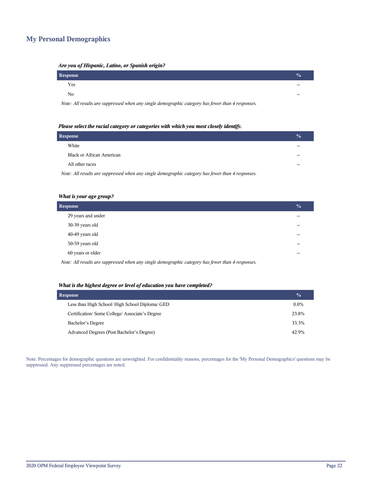## **My Personal Demographics**

| <i>TH</i> C fou of Hispanic, Eauno, or Spanish origin.                                            |               |
|---------------------------------------------------------------------------------------------------|---------------|
| <b>Response</b>                                                                                   | $\frac{0}{0}$ |
| Yes                                                                                               |               |
| No                                                                                                |               |
| Note: All results are suppressed when any single demographic category has fewer than 4 responses. |               |

#### *Are you of Hispanic, Latino, or Spanish origin?*

| Please select the racial category or categories with which you most closely identify. |  |
|---------------------------------------------------------------------------------------|--|

| <b>Response</b>                                                                                   | $\frac{0}{0}$ |
|---------------------------------------------------------------------------------------------------|---------------|
| White                                                                                             |               |
| Black or African American                                                                         |               |
| All other races                                                                                   |               |
| Note: All results are suppressed when any single demographic category has fewer than 4 responses. |               |

#### *What is your age group?*

| <b>Response</b>    | $\sqrt{0}$ |
|--------------------|------------|
| 29 years and under | $-$        |
| 30-39 years old    | --         |
| 40-49 years old    | $-$        |
| 50-59 years old    | --         |
| 60 years or older  | $-$        |
|                    |            |

*Note: All results are suppressed when any single demographic category has fewer than 4 responses.*

#### *What is the highest degree or level of education you have completed?*

| <b>Response</b>                                 | $\frac{1}{2}$ |
|-------------------------------------------------|---------------|
| Less than High School/ High School Diploma/ GED | $0.0\%$       |
| Certification/Some College/Associate's Degree   | 23.8%         |
| Bachelor's Degree                               | 33.3%         |
| Advanced Degrees (Post Bachelor's Degree)       | 42.9%         |

Note: Percentages for demographic questions are unweighted. For confidentiality reasons, percentages for the 'My Personal Demographics' questions may be suppressed. Any suppressed percentages are noted.